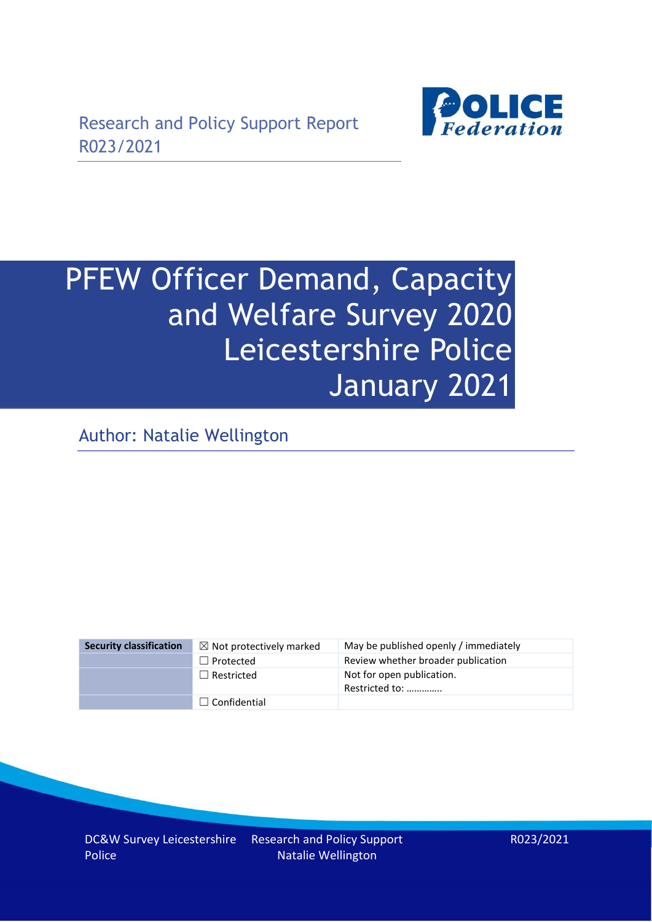

# PFEW Officer Demand, Capacity and Welfare Survey 2020 Leicestershire Police January 2021

Author: Natalie Wellington

| <b>Security classification</b> | $\boxtimes$ Not protectively marked | May be published openly / immediately       |
|--------------------------------|-------------------------------------|---------------------------------------------|
|                                | $\Box$ Protected                    | Review whether broader publication          |
|                                | $\Box$ Restricted                   | Not for open publication.<br>Restricted to: |
|                                | $\Box$ Confidential                 |                                             |

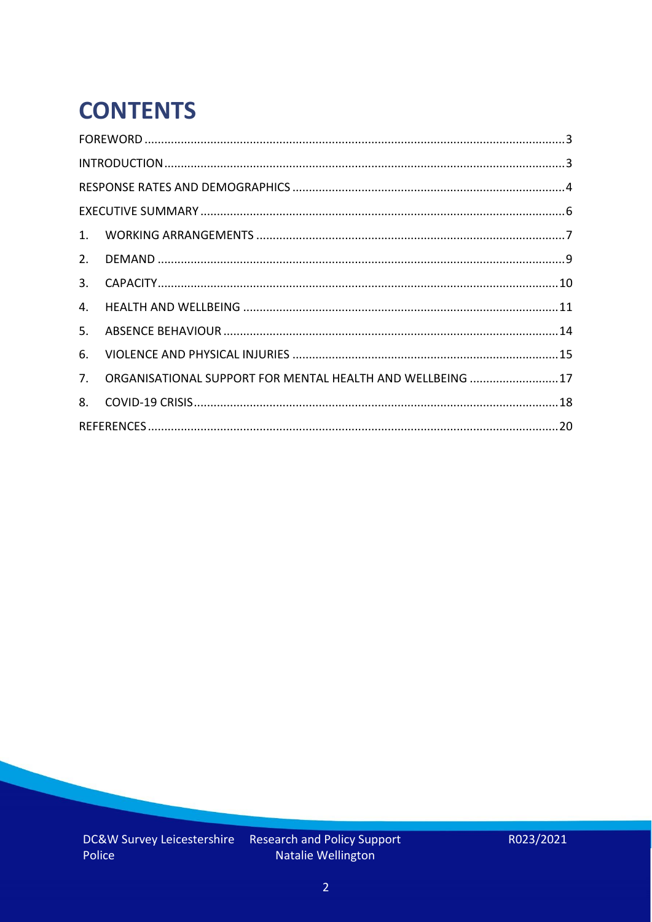# **CONTENTS**

| 2.          |                                                            |  |
|-------------|------------------------------------------------------------|--|
| 3.          |                                                            |  |
| 4.          |                                                            |  |
| 5.          |                                                            |  |
| 6.          |                                                            |  |
| $7_{\cdot}$ | ORGANISATIONAL SUPPORT FOR MENTAL HEALTH AND WELLBEING  17 |  |
| 8.          |                                                            |  |
|             |                                                            |  |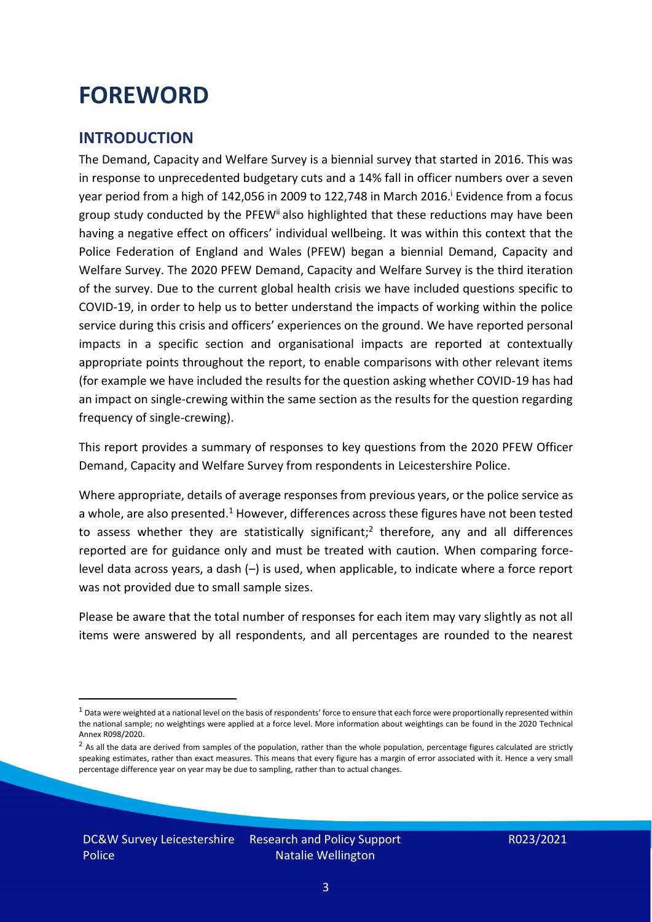### <span id="page-2-0"></span>**FOREWORD**

### <span id="page-2-1"></span>**INTRODUCTION**

The Demand, Capacity and Welfare Survey is a biennial survey that started in 2016. This was in response to unprecedented budgetary cuts and a 14% fall in officer numbers over a seven year period from a high of 142,056 in 2009 to 122,748 in March 2016. <sup>i</sup> Evidence from a focus group study conducted by the PFEW<sup>ii</sup> also highlighted that these reductions may have been having a negative effect on officers' individual wellbeing. It was within this context that the Police Federation of England and Wales (PFEW) began a biennial Demand, Capacity and Welfare Survey. The 2020 PFEW Demand, Capacity and Welfare Survey is the third iteration of the survey. Due to the current global health crisis we have included questions specific to COVID-19, in order to help us to better understand the impacts of working within the police service during this crisis and officers' experiences on the ground. We have reported personal impacts in a specific section and organisational impacts are reported at contextually appropriate points throughout the report, to enable comparisons with other relevant items (for example we have included the results for the question asking whether COVID-19 has had an impact on single-crewing within the same section as the results for the question regarding frequency of single-crewing).

This report provides a summary of responses to key questions from the 2020 PFEW Officer Demand, Capacity and Welfare Survey from respondents in Leicestershire Police.

Where appropriate, details of average responses from previous years, or the police service as a whole, are also presented.<sup>1</sup> However, differences across these figures have not been tested to assess whether they are statistically significant;<sup>2</sup> therefore, any and all differences reported are for guidance only and must be treated with caution. When comparing forcelevel data across years, a dash (–) is used, when applicable, to indicate where a force report was not provided due to small sample sizes.

Please be aware that the total number of responses for each item may vary slightly as not all items were answered by all respondents, and all percentages are rounded to the nearest

 $1$  Data were weighted at a national level on the basis of respondents' force to ensure that each force were proportionally represented within the national sample; no weightings were applied at a force level. More information about weightings can be found in the 2020 Technical Annex R098/2020.

 $2$  As all the data are derived from samples of the population, rather than the whole population, percentage figures calculated are strictly speaking estimates, rather than exact measures. This means that every figure has a margin of error associated with it. Hence a very small percentage difference year on year may be due to sampling, rather than to actual changes.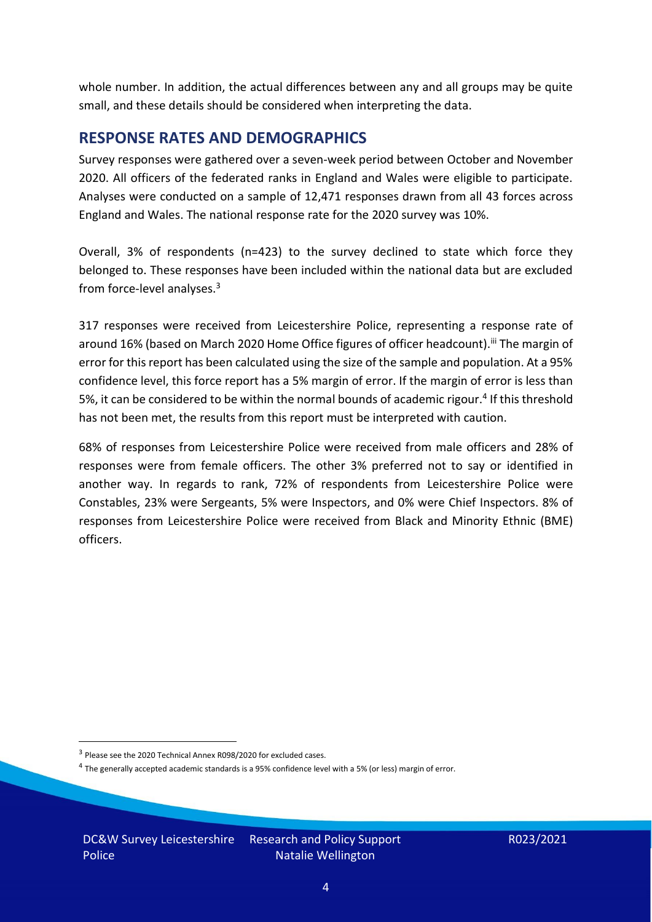whole number. In addition, the actual differences between any and all groups may be quite small, and these details should be considered when interpreting the data.

#### <span id="page-3-0"></span>**RESPONSE RATES AND DEMOGRAPHICS**

Survey responses were gathered over a seven-week period between October and November 2020. All officers of the federated ranks in England and Wales were eligible to participate. Analyses were conducted on a sample of 12,471 responses drawn from all 43 forces across England and Wales. The national response rate for the 2020 survey was 10%.

Overall, 3% of respondents (n=423) to the survey declined to state which force they belonged to. These responses have been included within the national data but are excluded from force-level analyses.<sup>3</sup>

317 responses were received from Leicestershire Police, representing a response rate of around 16% (based on March 2020 Home Office figures of officer headcount).<sup>iii</sup> The margin of error for this report has been calculated using the size of the sample and population. At a 95% confidence level, this force report has a 5% margin of error. If the margin of error is less than 5%, it can be considered to be within the normal bounds of academic rigour.<sup>4</sup> If this threshold has not been met, the results from this report must be interpreted with caution.

68% of responses from Leicestershire Police were received from male officers and 28% of responses were from female officers. The other 3% preferred not to say or identified in another way. In regards to rank, 72% of respondents from Leicestershire Police were Constables, 23% were Sergeants, 5% were Inspectors, and 0% were Chief Inspectors. 8% of responses from Leicestershire Police were received from Black and Minority Ethnic (BME) officers.

DC&W Survey Leicestershire Research and Policy Support Police Natalie Wellington

<sup>&</sup>lt;sup>3</sup> Please see the 2020 Technical Annex R098/2020 for excluded cases.

<sup>&</sup>lt;sup>4</sup> The generally accepted academic standards is a 95% confidence level with a 5% (or less) margin of error.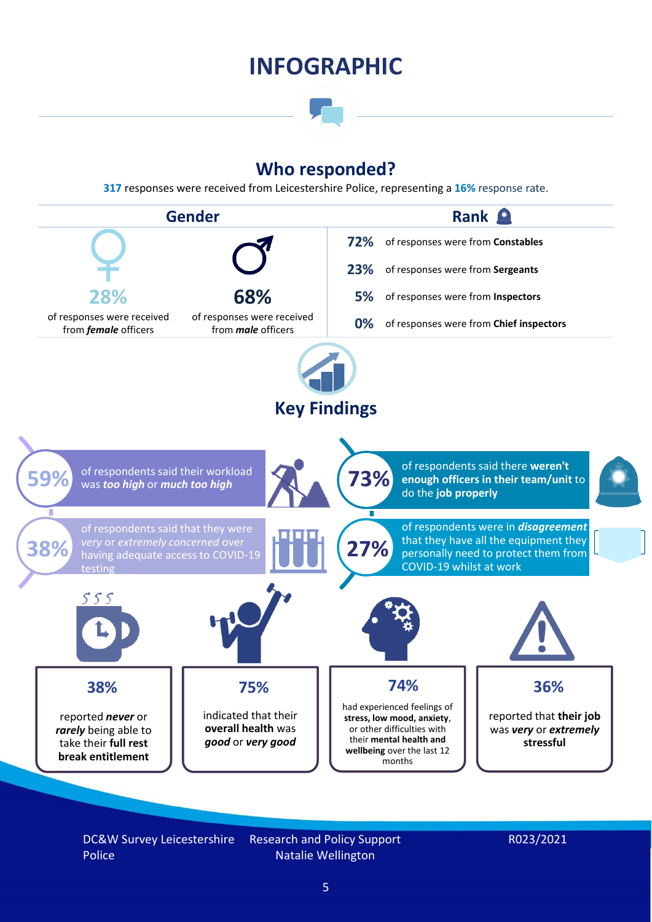### **INFOGRAPHIC**

### **Who responded?**

**317** responses were received from Leicestershire Police, representing a **16%** response rate.



DC&W Survey Leicestershire Police

Research and Policy Support Natalie Wellington

#### R023/2021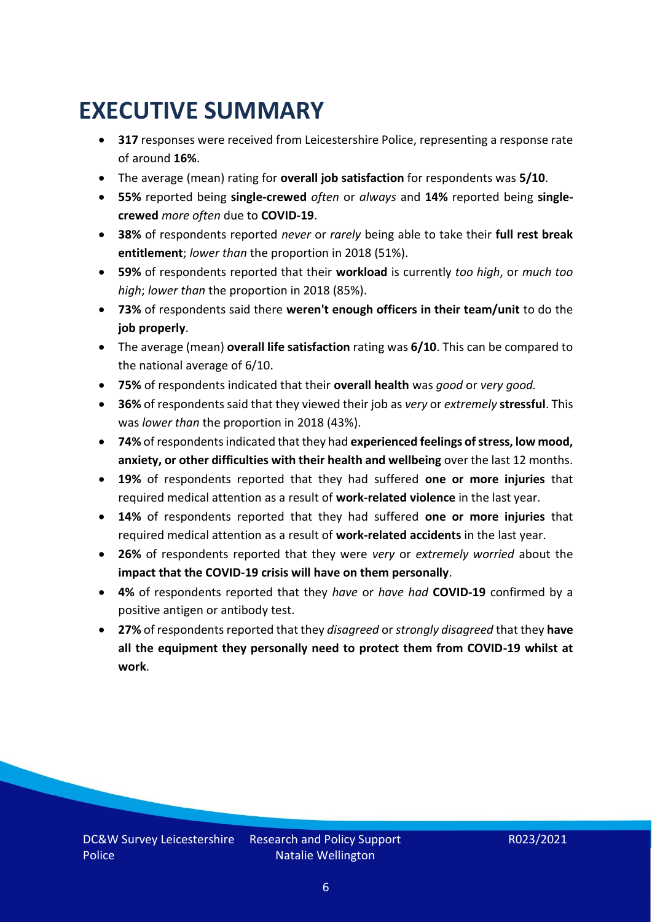### <span id="page-5-0"></span>**EXECUTIVE SUMMARY**

- **317** responses were received from Leicestershire Police, representing a response rate of around **16%**.
- The average (mean) rating for **overall job satisfaction** for respondents was **5/10**.
- **55%** reported being **single-crewed** *often* or *always* and **14%** reported being **singlecrewed** *more often* due to **COVID-19**.
- **38%** of respondents reported *never* or *rarely* being able to take their **full rest break entitlement**; *lower than* the proportion in 2018 (51%).
- **59%** of respondents reported that their **workload** is currently *too high*, or *much too high*; *lower than* the proportion in 2018 (85%).
- **73%** of respondents said there **weren't enough officers in their team/unit** to do the **job properly**.
- The average (mean) **overall life satisfaction** rating was **6/10**. This can be compared to the national average of 6/10.
- **75%** of respondents indicated that their **overall health** was *good* or *very good.*
- **36%** of respondents said that they viewed their job as *very* or *extremely* **stressful**. This was *lower than* the proportion in 2018 (43%).
- **74%** of respondents indicated that they had **experienced feelings of stress, low mood, anxiety, or other difficulties with their health and wellbeing** over the last 12 months.
- **19%** of respondents reported that they had suffered **one or more injuries** that required medical attention as a result of **work-related violence** in the last year.
- **14%** of respondents reported that they had suffered **one or more injuries** that required medical attention as a result of **work-related accidents** in the last year.
- **26%** of respondents reported that they were *very* or *extremely worried* about the **impact that the COVID-19 crisis will have on them personally**.
- **4%** of respondents reported that they *have* or *have had* **COVID-19** confirmed by a positive antigen or antibody test.
- **27%** of respondents reported that they *disagreed* or *strongly disagreed* that they **have all the equipment they personally need to protect them from COVID-19 whilst at work**.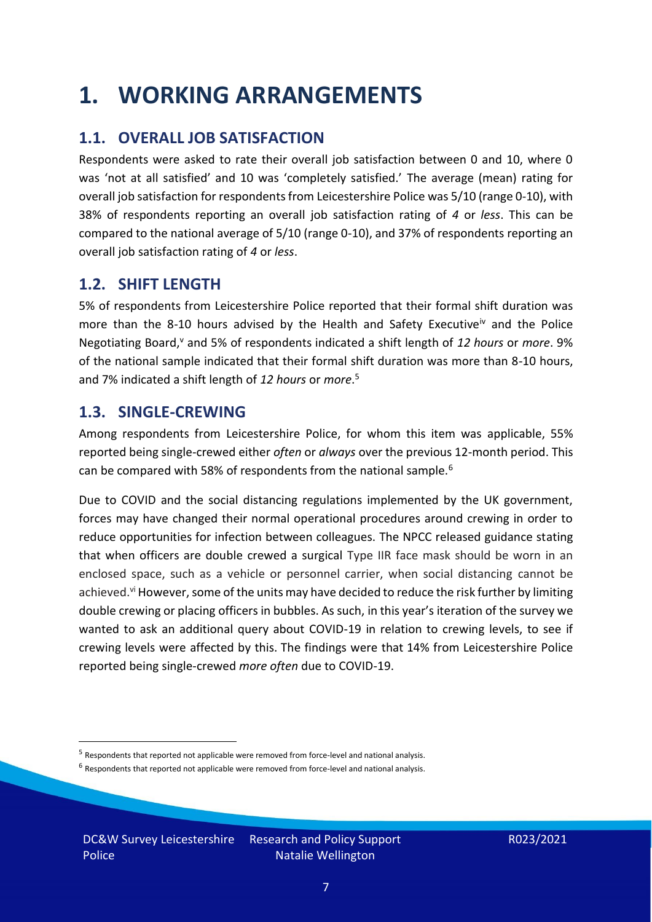### <span id="page-6-0"></span>**1. WORKING ARRANGEMENTS**

### **1.1. OVERALL JOB SATISFACTION**

Respondents were asked to rate their overall job satisfaction between 0 and 10, where 0 was 'not at all satisfied' and 10 was 'completely satisfied.' The average (mean) rating for overall job satisfaction for respondents from Leicestershire Police was 5/10 (range 0-10), with 38% of respondents reporting an overall job satisfaction rating of *4* or *less*. This can be compared to the national average of 5/10 (range 0-10), and 37% of respondents reporting an overall job satisfaction rating of *4* or *less*.

### **1.2. SHIFT LENGTH**

5% of respondents from Leicestershire Police reported that their formal shift duration was more than the 8-10 hours advised by the Health and Safety Executive<sup>iv</sup> and the Police Negotiating Board,<sup>v</sup> and 5% of respondents indicated a shift length of 12 hours or *more*. 9% of the national sample indicated that their formal shift duration was more than 8-10 hours, and 7% indicated a shift length of *12 hours* or *more*. 5

#### **1.3. SINGLE-CREWING**

Among respondents from Leicestershire Police, for whom this item was applicable, 55% reported being single-crewed either *often* or *always* over the previous 12-month period. This can be compared with 58% of respondents from the national sample.<sup>6</sup>

Due to COVID and the social distancing regulations implemented by the UK government, forces may have changed their normal operational procedures around crewing in order to reduce opportunities for infection between colleagues. The NPCC released guidance stating that when officers are double crewed a surgical Type IIR face mask should be worn in an enclosed space, such as a vehicle or personnel carrier, when social distancing cannot be achieved.<sup>vi</sup> However, some of the units may have decided to reduce the risk further by limiting double crewing or placing officers in bubbles. As such, in this year's iteration of the survey we wanted to ask an additional query about COVID-19 in relation to crewing levels, to see if crewing levels were affected by this. The findings were that 14% from Leicestershire Police reported being single-crewed *more often* due to COVID-19.

DC&W Survey Leicestershire Police Research and Policy Support Natalie Wellington

<sup>&</sup>lt;sup>5</sup> Respondents that reported not applicable were removed from force-level and national analysis.

 $<sup>6</sup>$  Respondents that reported not applicable were removed from force-level and national analysis.</sup>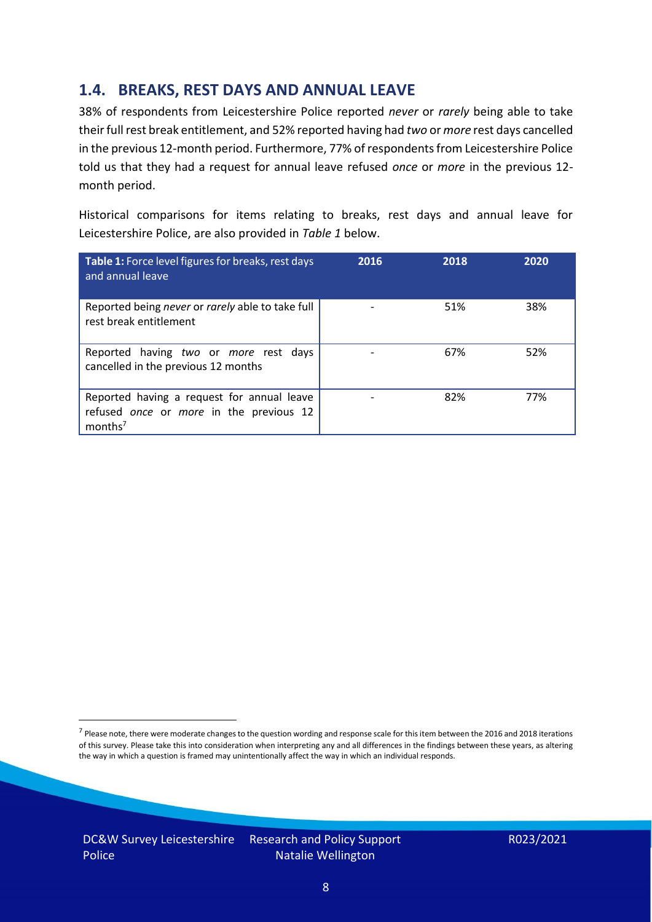### **1.4. BREAKS, REST DAYS AND ANNUAL LEAVE**

38% of respondents from Leicestershire Police reported *never* or *rarely* being able to take their full rest break entitlement, and 52% reported having had *two* or *more* rest days cancelled in the previous 12-month period. Furthermore, 77% of respondents from Leicestershire Police told us that they had a request for annual leave refused *once* or *more* in the previous 12 month period.

Historical comparisons for items relating to breaks, rest days and annual leave for Leicestershire Police, are also provided in *Table 1* below.

| Table 1: Force level figures for breaks, rest days<br>and annual leave                                       | 2016 | 2018 | 2020 |
|--------------------------------------------------------------------------------------------------------------|------|------|------|
| Reported being never or rarely able to take full<br>rest break entitlement                                   |      | 51%  | 38%  |
| Reported having two or more rest days<br>cancelled in the previous 12 months                                 |      | 67%  | 52%  |
| Reported having a request for annual leave<br>refused once or more in the previous 12<br>months <sup>7</sup> |      | 82%  | 77%  |

DC&W Survey Leicestershire Research and Policy Support Police Natalie Wellington

<sup>&</sup>lt;sup>7</sup> Please note, there were moderate changes to the question wording and response scale for this item between the 2016 and 2018 iterations of this survey. Please take this into consideration when interpreting any and all differences in the findings between these years, as altering the way in which a question is framed may unintentionally affect the way in which an individual responds.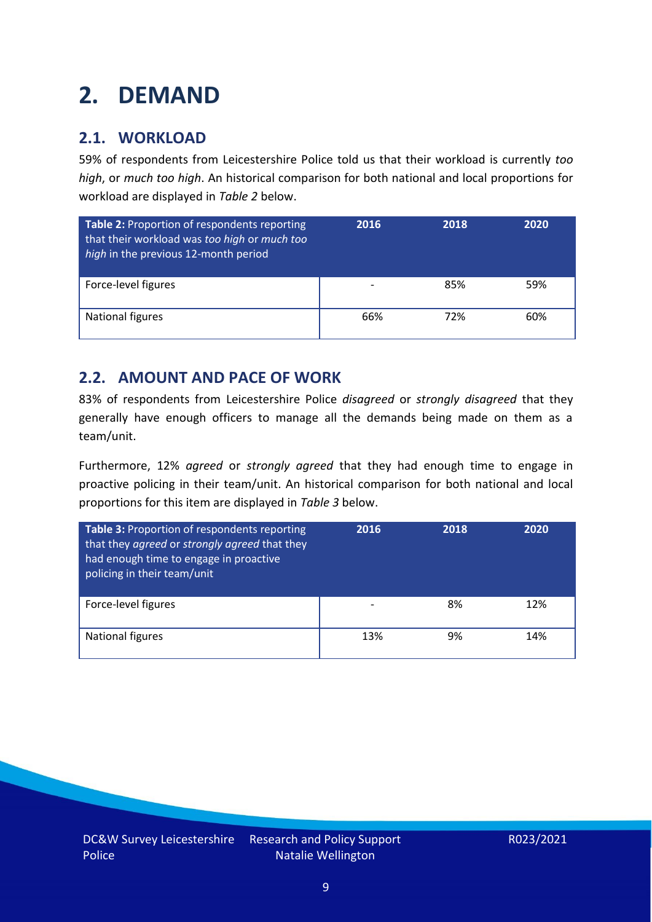## <span id="page-8-0"></span>**2. DEMAND**

### **2.1. WORKLOAD**

59% of respondents from Leicestershire Police told us that their workload is currently *too high*, or *much too high*. An historical comparison for both national and local proportions for workload are displayed in *Table 2* below.

| Table 2: Proportion of respondents reporting<br>that their workload was too high or much too<br>high in the previous 12-month period | 2016 | 2018 | 2020 |
|--------------------------------------------------------------------------------------------------------------------------------------|------|------|------|
| Force-level figures                                                                                                                  |      | 85%  | 59%  |
| National figures                                                                                                                     | 66%  | 72%  | 60%  |

### **2.2. AMOUNT AND PACE OF WORK**

83% of respondents from Leicestershire Police *disagreed* or *strongly disagreed* that they generally have enough officers to manage all the demands being made on them as a team/unit.

Furthermore, 12% *agreed* or *strongly agreed* that they had enough time to engage in proactive policing in their team/unit. An historical comparison for both national and local proportions for this item are displayed in *Table 3* below.

| Table 3: Proportion of respondents reporting<br>that they agreed or strongly agreed that they<br>had enough time to engage in proactive<br>policing in their team/unit | 2016 | 2018 | 2020 |
|------------------------------------------------------------------------------------------------------------------------------------------------------------------------|------|------|------|
| Force-level figures                                                                                                                                                    |      | 8%   | 12%  |
| National figures                                                                                                                                                       | 13%  | 9%   | 14%  |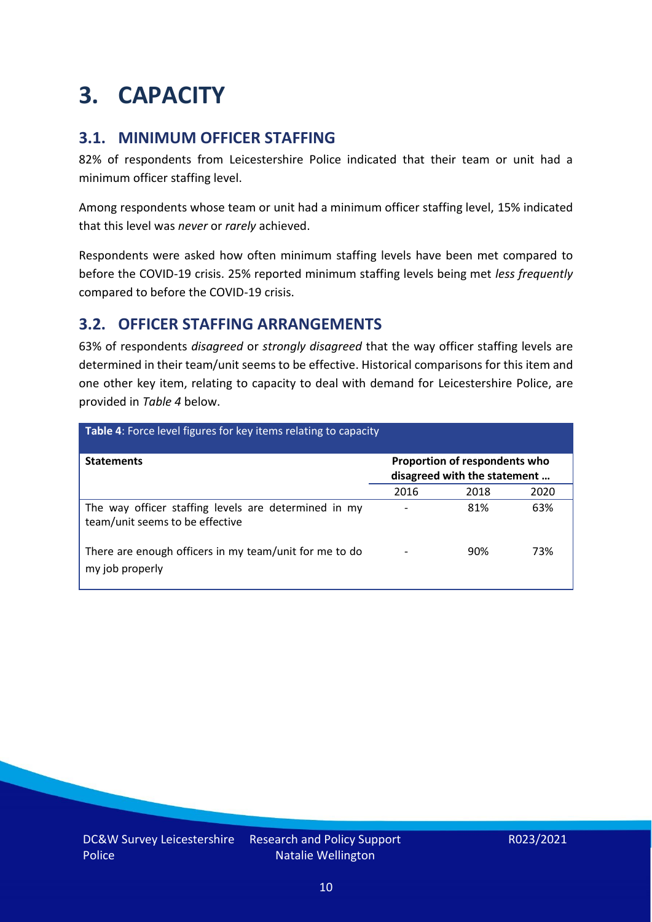### <span id="page-9-0"></span>**3. CAPACITY**

### **3.1. MINIMUM OFFICER STAFFING**

82% of respondents from Leicestershire Police indicated that their team or unit had a minimum officer staffing level.

Among respondents whose team or unit had a minimum officer staffing level, 15% indicated that this level was *never* or *rarely* achieved.

Respondents were asked how often minimum staffing levels have been met compared to before the COVID-19 crisis. 25% reported minimum staffing levels being met *less frequently* compared to before the COVID-19 crisis.

### **3.2. OFFICER STAFFING ARRANGEMENTS**

63% of respondents *disagreed* or *strongly disagreed* that the way officer staffing levels are determined in their team/unit seems to be effective. Historical comparisons for this item and one other key item, relating to capacity to deal with demand for Leicestershire Police, are provided in *Table 4* below.

| <b>Table 4:</b> Force level figures for key items relating to capacity                  |      |                                                               |      |
|-----------------------------------------------------------------------------------------|------|---------------------------------------------------------------|------|
| <b>Statements</b>                                                                       |      | Proportion of respondents who<br>disagreed with the statement |      |
|                                                                                         | 2016 | 2018                                                          | 2020 |
| The way officer staffing levels are determined in my<br>team/unit seems to be effective |      | 81%                                                           | 63%  |
| There are enough officers in my team/unit for me to do<br>my job properly               |      | 90%                                                           | 73%  |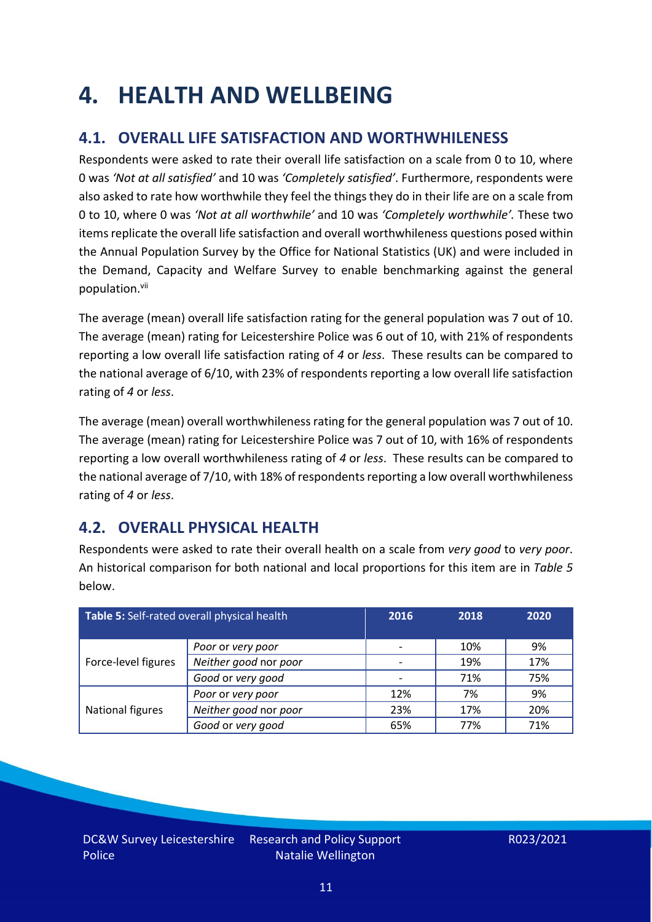### <span id="page-10-0"></span>**4. HEALTH AND WELLBEING**

### **4.1. OVERALL LIFE SATISFACTION AND WORTHWHILENESS**

Respondents were asked to rate their overall life satisfaction on a scale from 0 to 10, where 0 was *'Not at all satisfied'* and 10 was *'Completely satisfied'*. Furthermore, respondents were also asked to rate how worthwhile they feel the things they do in their life are on a scale from 0 to 10, where 0 was *'Not at all worthwhile'* and 10 was *'Completely worthwhile'.* These two items replicate the overall life satisfaction and overall worthwhileness questions posed within the Annual Population Survey by the Office for National Statistics (UK) and were included in the Demand, Capacity and Welfare Survey to enable benchmarking against the general population. vii

The average (mean) overall life satisfaction rating for the general population was 7 out of 10. The average (mean) rating for Leicestershire Police was 6 out of 10, with 21% of respondents reporting a low overall life satisfaction rating of *4* or *less*. These results can be compared to the national average of 6/10, with 23% of respondents reporting a low overall life satisfaction rating of *4* or *less*.

The average (mean) overall worthwhileness rating for the general population was 7 out of 10. The average (mean) rating for Leicestershire Police was 7 out of 10, with 16% of respondents reporting a low overall worthwhileness rating of *4* or *less*. These results can be compared to the national average of 7/10, with 18% of respondents reporting a low overall worthwhileness rating of *4* or *less*.

### **4.2. OVERALL PHYSICAL HEALTH**

Respondents were asked to rate their overall health on a scale from *very good* to *very poor*. An historical comparison for both national and local proportions for this item are in *Table 5* below.

| Table 5: Self-rated overall physical health |                       | 2016 | 2018 | 2020 |
|---------------------------------------------|-----------------------|------|------|------|
|                                             | Poor or very poor     |      | 10%  | 9%   |
| Force-level figures                         | Neither good nor poor |      | 19%  | 17%  |
|                                             | Good or very good     |      | 71%  | 75%  |
|                                             | Poor or very poor     | 12%  | 7%   | 9%   |
| National figures                            | Neither good nor poor | 23%  | 17%  | 20%  |
|                                             | Good or very good     | 65%  | 77%  | 71%  |

Research and Policy Support Natalie Wellington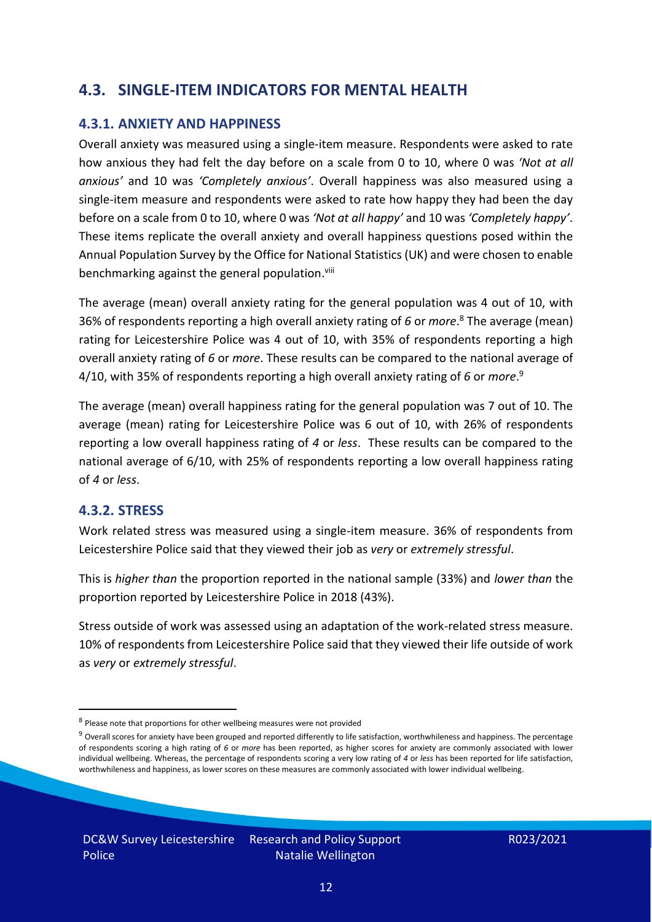### **4.3. SINGLE-ITEM INDICATORS FOR MENTAL HEALTH**

#### **4.3.1. ANXIETY AND HAPPINESS**

Overall anxiety was measured using a single-item measure. Respondents were asked to rate how anxious they had felt the day before on a scale from 0 to 10, where 0 was *'Not at all anxious'* and 10 was *'Completely anxious'*. Overall happiness was also measured using a single-item measure and respondents were asked to rate how happy they had been the day before on a scale from 0 to 10, where 0 was *'Not at all happy'* and 10 was *'Completely happy'*. These items replicate the overall anxiety and overall happiness questions posed within the Annual Population Survey by the Office for National Statistics (UK) and were chosen to enable benchmarking against the general population.<sup>viii</sup>

The average (mean) overall anxiety rating for the general population was 4 out of 10, with 36% of respondents reporting a high overall anxiety rating of *6* or *more*. <sup>8</sup> The average (mean) rating for Leicestershire Police was 4 out of 10, with 35% of respondents reporting a high overall anxiety rating of *6* or *more*. These results can be compared to the national average of 4/10, with 35% of respondents reporting a high overall anxiety rating of *6* or *more*. 9

The average (mean) overall happiness rating for the general population was 7 out of 10. The average (mean) rating for Leicestershire Police was 6 out of 10, with 26% of respondents reporting a low overall happiness rating of *4* or *less*. These results can be compared to the national average of 6/10, with 25% of respondents reporting a low overall happiness rating of *4* or *less*.

#### **4.3.2. STRESS**

Work related stress was measured using a single-item measure. 36% of respondents from Leicestershire Police said that they viewed their job as *very* or *extremely stressful*.

This is *higher than* the proportion reported in the national sample (33%) and *lower than* the proportion reported by Leicestershire Police in 2018 (43%).

Stress outside of work was assessed using an adaptation of the work-related stress measure. 10% of respondents from Leicestershire Police said that they viewed their life outside of work as *very* or *extremely stressful*.

Natalie Wellington

<sup>&</sup>lt;sup>8</sup> Please note that proportions for other wellbeing measures were not provided

 $9$  Overall scores for anxiety have been grouped and reported differently to life satisfaction, worthwhileness and happiness. The percentage of respondents scoring a high rating of *6* or *more* has been reported, as higher scores for anxiety are commonly associated with lower individual wellbeing. Whereas, the percentage of respondents scoring a very low rating of *4* or *less* has been reported for life satisfaction, worthwhileness and happiness, as lower scores on these measures are commonly associated with lower individual wellbeing.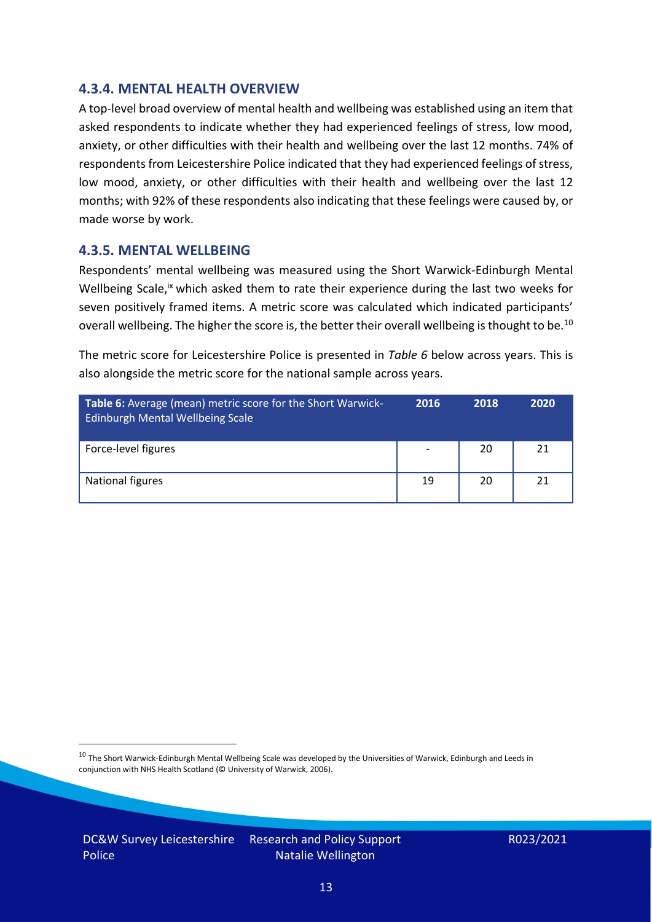#### **4.3.4. MENTAL HEALTH OVERVIEW**

A top-level broad overview of mental health and wellbeing was established using an item that asked respondents to indicate whether they had experienced feelings of stress, low mood, anxiety, or other difficulties with their health and wellbeing over the last 12 months. 74% of respondents from Leicestershire Police indicated that they had experienced feelings of stress, low mood, anxiety, or other difficulties with their health and wellbeing over the last 12 months; with 92% of these respondents also indicating that these feelings were caused by, or made worse by work.

#### **4.3.5. MENTAL WELLBEING**

Respondents' mental wellbeing was measured using the Short Warwick-Edinburgh Mental Wellbeing Scale,<sup>ix</sup> which asked them to rate their experience during the last two weeks for seven positively framed items. A metric score was calculated which indicated participants' overall wellbeing. The higher the score is, the better their overall wellbeing is thought to be.<sup>10</sup>

The metric score for Leicestershire Police is presented in *Table 6* below across years. This is also alongside the metric score for the national sample across years.

| <b>Table 6:</b> Average (mean) metric score for the Short Warwick-<br>Edinburgh Mental Wellbeing Scale | 2016                     | 2018 | 2020 |
|--------------------------------------------------------------------------------------------------------|--------------------------|------|------|
| Force-level figures                                                                                    | $\overline{\phantom{a}}$ | 20   | 21   |
| National figures                                                                                       | 19                       | 20   | 21   |

 $10$  The Short Warwick-Edinburgh Mental Wellbeing Scale was developed by the Universities of Warwick, Edinburgh and Leeds in conjunction with NHS Health Scotland (© University of Warwick, 2006).

DC&W Survey Leicestershire Police

Research and Policy Support Natalie Wellington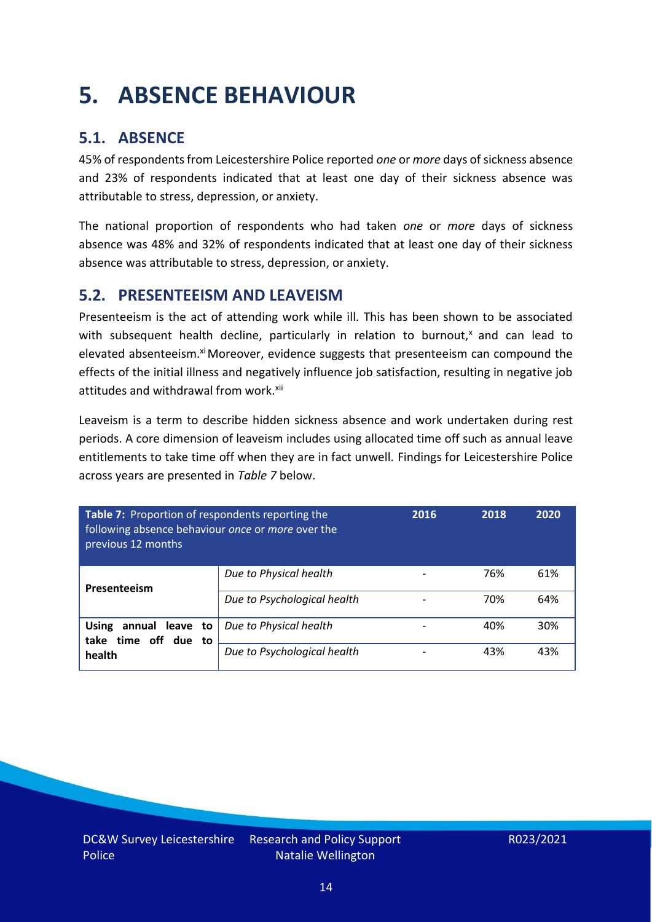## <span id="page-13-0"></span>**5. ABSENCE BEHAVIOUR**

### **5.1. ABSENCE**

45% of respondents from Leicestershire Police reported *one* or *more* days of sickness absence and 23% of respondents indicated that at least one day of their sickness absence was attributable to stress, depression, or anxiety.

The national proportion of respondents who had taken *one* or *more* days of sickness absence was 48% and 32% of respondents indicated that at least one day of their sickness absence was attributable to stress, depression, or anxiety.

#### **5.2. PRESENTEEISM AND LEAVEISM**

Presenteeism is the act of attending work while ill. This has been shown to be associated with subsequent health decline, particularly in relation to burnout, $x$  and can lead to elevated absenteeism.<sup>xi</sup> Moreover, evidence suggests that presenteeism can compound the effects of the initial illness and negatively influence job satisfaction, resulting in negative job attitudes and withdrawal from work.<sup>xii</sup>

Leaveism is a term to describe hidden sickness absence and work undertaken during rest periods. A core dimension of leaveism includes using allocated time off such as annual leave entitlements to take time off when they are in fact unwell. Findings for Leicestershire Police across years are presented in *Table 7* below.

| Table 7: Proportion of respondents reporting the<br>following absence behaviour once or more over the<br>previous 12 months |                             | 2016 | 2018 | 2020 |
|-----------------------------------------------------------------------------------------------------------------------------|-----------------------------|------|------|------|
| Presenteeism                                                                                                                | Due to Physical health      |      | 76%  | 61%  |
|                                                                                                                             | Due to Psychological health |      | 70%  | 64%  |
| <b>Using</b><br>annual leave to<br>take time off due to<br>health                                                           | Due to Physical health      |      | 40%  | 30%  |
|                                                                                                                             | Due to Psychological health |      | 43%  | 43%  |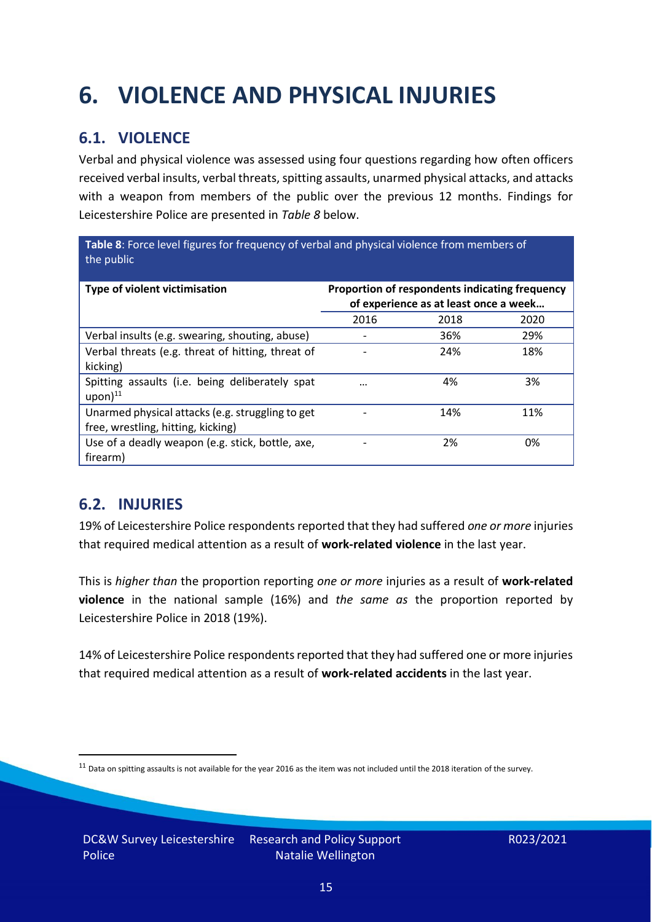## <span id="page-14-0"></span>**6. VIOLENCE AND PHYSICAL INJURIES**

### **6.1. VIOLENCE**

Verbal and physical violence was assessed using four questions regarding how often officers received verbal insults, verbal threats, spitting assaults, unarmed physical attacks, and attacks with a weapon from members of the public over the previous 12 months. Findings for Leicestershire Police are presented in *Table 8* below.

**Table 8**: Force level figures for frequency of verbal and physical violence from members of the public

| Type of violent victimisation                                                          | Proportion of respondents indicating frequency<br>of experience as at least once a week |      |      |
|----------------------------------------------------------------------------------------|-----------------------------------------------------------------------------------------|------|------|
|                                                                                        | 2016                                                                                    | 2018 | 2020 |
| Verbal insults (e.g. swearing, shouting, abuse)                                        |                                                                                         | 36%  | 29%  |
| Verbal threats (e.g. threat of hitting, threat of<br>kicking)                          |                                                                                         | 24%  | 18%  |
| Spitting assaults (i.e. being deliberately spat<br>$upon)$ <sup>11</sup>               | $\cdots$                                                                                | 4%   | 3%   |
| Unarmed physical attacks (e.g. struggling to get<br>free, wrestling, hitting, kicking) |                                                                                         | 14%  | 11%  |
| Use of a deadly weapon (e.g. stick, bottle, axe,<br>firearm)                           |                                                                                         | 2%   | 0%   |

### **6.2. INJURIES**

19% of Leicestershire Police respondents reported that they had suffered *one or more* injuries that required medical attention as a result of **work-related violence** in the last year.

This is *higher than* the proportion reporting *one or more* injuries as a result of **work-related violence** in the national sample (16%) and *the same as* the proportion reported by Leicestershire Police in 2018 (19%).

14% of Leicestershire Police respondents reported that they had suffered one or more injuries that required medical attention as a result of **work-related accidents** in the last year.

 $11$  Data on spitting assaults is not available for the year 2016 as the item was not included until the 2018 iteration of the survey.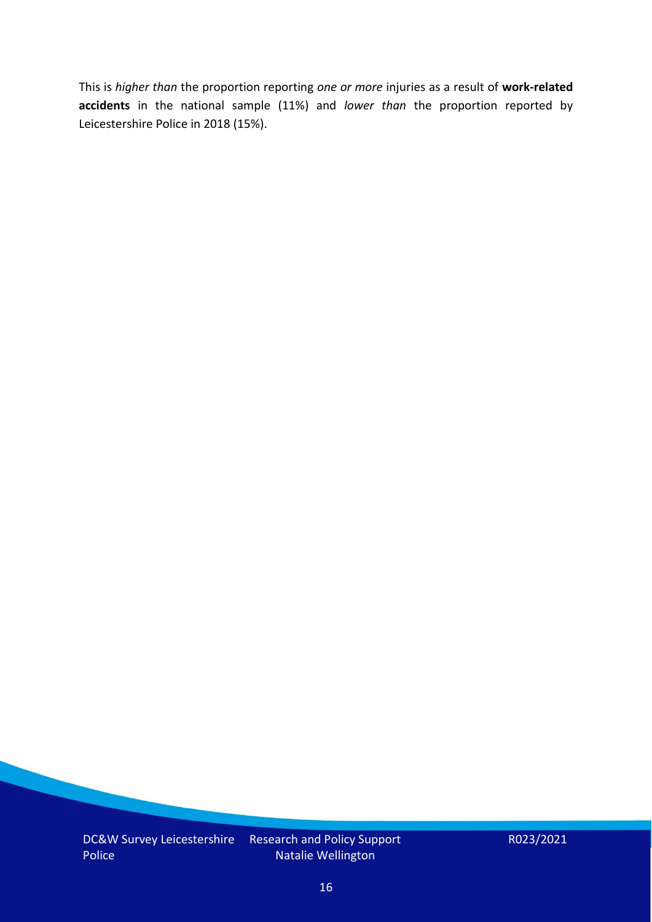This is *higher than* the proportion reporting *one or more* injuries as a result of **work-related accidents** in the national sample (11%) and *lower than* the proportion reported by Leicestershire Police in 2018 (15%).

Natalie Wellington

R023/2021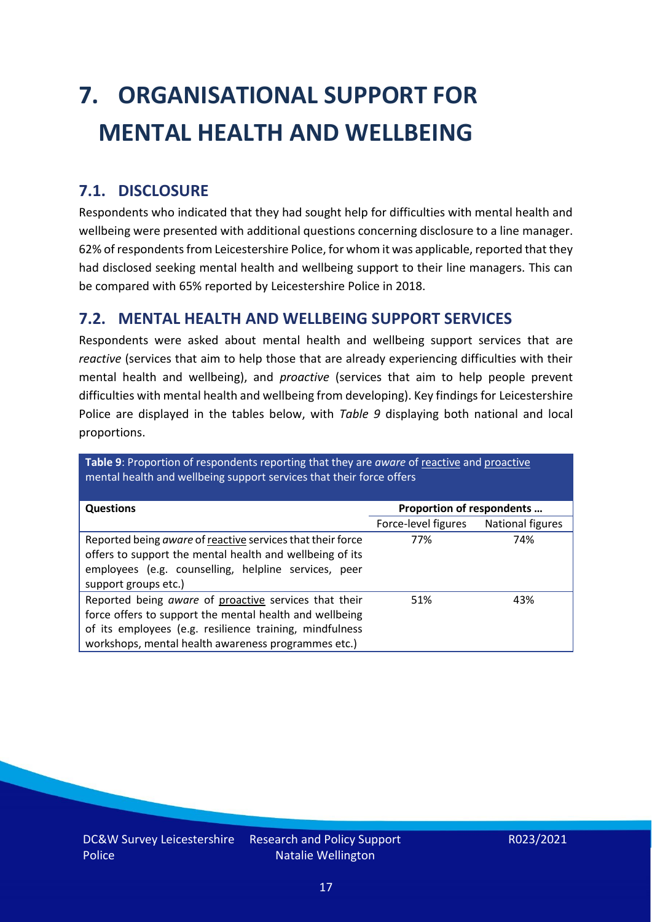# <span id="page-16-0"></span>**7. ORGANISATIONAL SUPPORT FOR MENTAL HEALTH AND WELLBEING**

### **7.1. DISCLOSURE**

Respondents who indicated that they had sought help for difficulties with mental health and wellbeing were presented with additional questions concerning disclosure to a line manager. 62% of respondents from Leicestershire Police, for whom it was applicable, reported that they had disclosed seeking mental health and wellbeing support to their line managers. This can be compared with 65% reported by Leicestershire Police in 2018.

#### **7.2. MENTAL HEALTH AND WELLBEING SUPPORT SERVICES**

Respondents were asked about mental health and wellbeing support services that are *reactive* (services that aim to help those that are already experiencing difficulties with their mental health and wellbeing), and *proactive* (services that aim to help people prevent difficulties with mental health and wellbeing from developing). Key findings for Leicestershire Police are displayed in the tables below, with *Table 9* displaying both national and local proportions.

**Table 9**: Proportion of respondents reporting that they are *aware* of reactive and proactive mental health and wellbeing support services that their force offers

| <b>Questions</b>                                                                                                                                                                                                                   | Proportion of respondents |                  |
|------------------------------------------------------------------------------------------------------------------------------------------------------------------------------------------------------------------------------------|---------------------------|------------------|
|                                                                                                                                                                                                                                    | Force-level figures       | National figures |
| Reported being aware of reactive services that their force<br>offers to support the mental health and wellbeing of its<br>employees (e.g. counselling, helpline services, peer<br>support groups etc.)                             | 77%                       | 74%              |
| Reported being aware of proactive services that their<br>force offers to support the mental health and wellbeing<br>of its employees (e.g. resilience training, mindfulness<br>workshops, mental health awareness programmes etc.) | 51%                       | 43%              |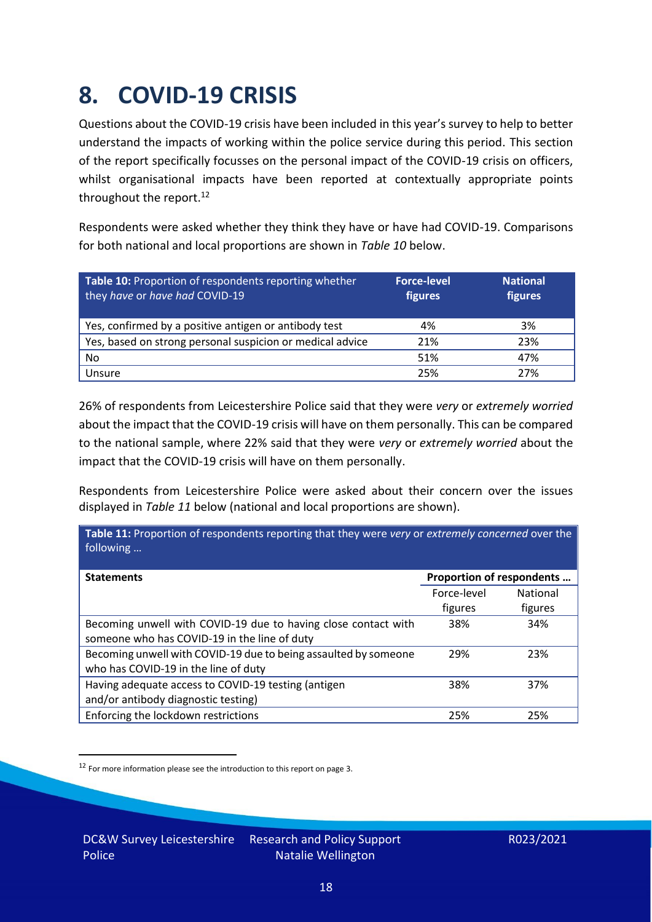### <span id="page-17-0"></span>**8. COVID-19 CRISIS**

Questions about the COVID-19 crisis have been included in this year's survey to help to better understand the impacts of working within the police service during this period. This section of the report specifically focusses on the personal impact of the COVID-19 crisis on officers, whilst organisational impacts have been reported at contextually appropriate points throughout the report.<sup>12</sup>

Respondents were asked whether they think they have or have had COVID-19. Comparisons for both national and local proportions are shown in *Table 10* below.

| Table 10: Proportion of respondents reporting whether<br>they have or have had COVID-19 | <b>Force-level</b><br>figures | <b>National</b><br>figures |
|-----------------------------------------------------------------------------------------|-------------------------------|----------------------------|
| Yes, confirmed by a positive antigen or antibody test                                   | 4%                            | 3%                         |
| Yes, based on strong personal suspicion or medical advice                               | 21%                           | 23%                        |
| No                                                                                      | 51%                           | 47%                        |
| Unsure                                                                                  | 25%                           | 27%                        |

26% of respondents from Leicestershire Police said that they were *very* or *extremely worried* about the impact that the COVID-19 crisis will have on them personally. This can be compared to the national sample, where 22% said that they were *very* or *extremely worried* about the impact that the COVID-19 crisis will have on them personally.

Respondents from Leicestershire Police were asked about their concern over the issues displayed in *Table 11* below (national and local proportions are shown).

| Proportion of respondents |                                                                                                   |
|---------------------------|---------------------------------------------------------------------------------------------------|
| Force-level               | <b>National</b>                                                                                   |
| figures                   | figures                                                                                           |
| 38%                       | 34%                                                                                               |
|                           |                                                                                                   |
| 29%                       | 23%                                                                                               |
|                           |                                                                                                   |
| 38%                       | 37%                                                                                               |
|                           |                                                                                                   |
| 25%                       | 25%                                                                                               |
|                           | Table 11: Proportion of respondents reporting that they were very or extremely concerned over the |

<sup>12</sup> For more information please see the introduction to this report on page 3.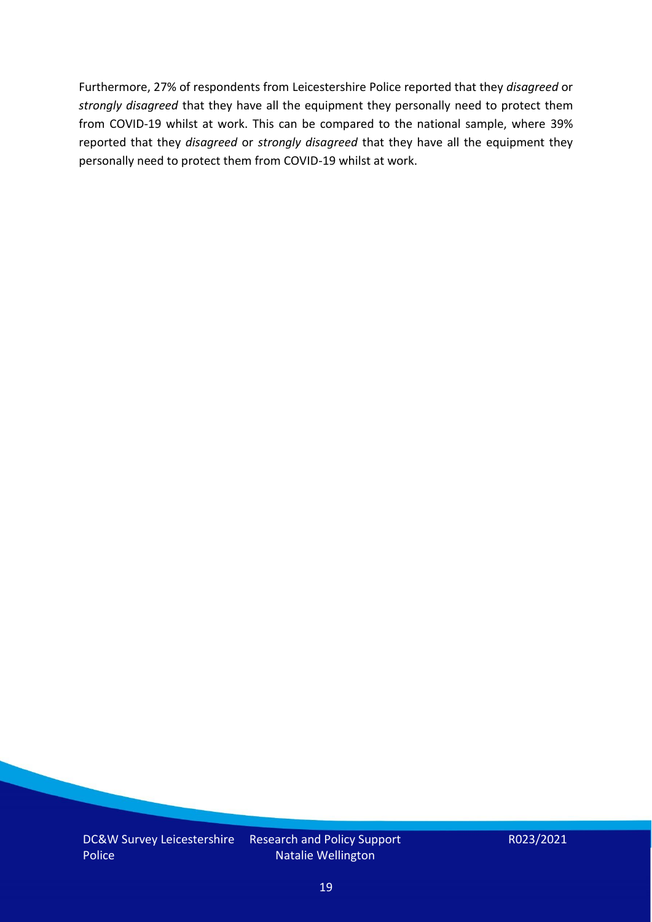Furthermore, 27% of respondents from Leicestershire Police reported that they *disagreed* or *strongly disagreed* that they have all the equipment they personally need to protect them from COVID-19 whilst at work. This can be compared to the national sample, where 39% reported that they *disagreed* or *strongly disagreed* that they have all the equipment they personally need to protect them from COVID-19 whilst at work.

Research and Policy Support Natalie Wellington